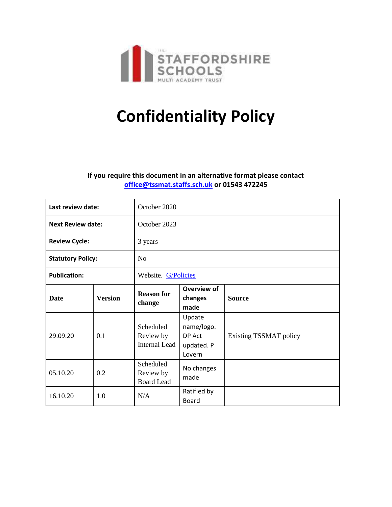

# **Confidentiality Policy**

## **If you require this document in an alternative format please contact [office@tssmat.staffs.sch.uk](mailto:office@tssmat.staffs.sch.uk) or 01543 472245**

| Last review date:        |                | October 2020                                   |                                                        |                        |
|--------------------------|----------------|------------------------------------------------|--------------------------------------------------------|------------------------|
| <b>Next Review date:</b> |                | October 2023                                   |                                                        |                        |
| <b>Review Cycle:</b>     |                | 3 years                                        |                                                        |                        |
| <b>Statutory Policy:</b> |                | N <sub>o</sub>                                 |                                                        |                        |
| <b>Publication:</b>      |                | Website. G/Policies                            |                                                        |                        |
| <b>Date</b>              | <b>Version</b> | <b>Reason for</b><br>change                    | <b>Overview of</b><br>changes<br>made                  | <b>Source</b>          |
| 29.09.20                 | 0.1            | Scheduled<br>Review by<br><b>Internal Lead</b> | Update<br>name/logo.<br>DP Act<br>updated. P<br>Lovern | Existing TSSMAT policy |
| 05.10.20                 | 0.2            | Scheduled<br>Review by<br><b>Board Lead</b>    | No changes<br>made                                     |                        |
| 16.10.20                 | 1.0            | N/A                                            | Ratified by<br><b>Board</b>                            |                        |